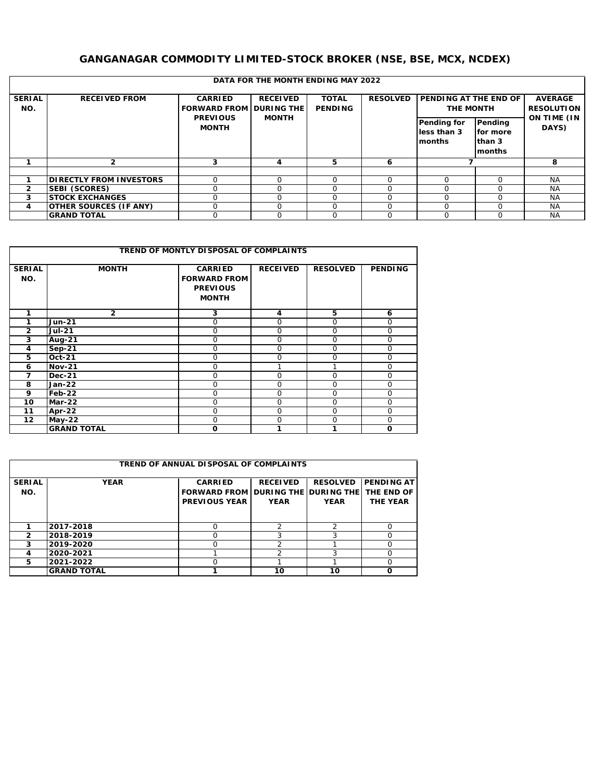## **GANGANAGAR COMMODITY LIMITED-STOCK BROKER (NSE, BSE, MCX, NCDEX)**

|                      |                                 |                                                       | DATA FOR THE MONTH ENDING MAY 2022 |                         |                 |                                                                                      |                                         |                                             |
|----------------------|---------------------------------|-------------------------------------------------------|------------------------------------|-------------------------|-----------------|--------------------------------------------------------------------------------------|-----------------------------------------|---------------------------------------------|
| <b>SERIAL</b><br>NO. | RECEIVED FROM                   | <b>CARRIED</b><br>FORWARD FROM DURING THE<br>PREVIOUS | <b>RECEIVED</b><br><b>MONTH</b>    | TOTAL<br><b>PENDING</b> | <b>RESOLVED</b> | $\overline{\phantom{a}}$ PENDING AT THE END OF $\overline{\phantom{a}}$<br>THE MONTH |                                         | AVERAGE<br><b>RESOLUTION</b><br>ON TIME (IN |
|                      |                                 | <b>MONTH</b>                                          |                                    |                         |                 | Pending for<br>less than 3<br>months                                                 | Pending<br>for more<br>than 3<br>months | DAYS)                                       |
|                      |                                 |                                                       |                                    | $\mathcal{D}$           | 6               |                                                                                      |                                         | 8                                           |
|                      |                                 |                                                       |                                    |                         |                 |                                                                                      |                                         |                                             |
|                      | <b>DI RECTLY FROM INVESTORS</b> |                                                       |                                    | $\cap$                  | $\Omega$        |                                                                                      | $\Omega$                                | <b>NA</b>                                   |
| $\mathfrak{D}$       | SEBI (SCORES)                   |                                                       |                                    | $\Omega$                | $\Omega$        |                                                                                      | $\Omega$                                | <b>NA</b>                                   |
| 3                    | <b>STOCK EXCHANGES</b>          |                                                       |                                    | $\Omega$                | $\Omega$        | $\Omega$                                                                             | $\Omega$                                | <b>NA</b>                                   |
| 4                    | OTHER SOURCES (IF ANY)          |                                                       |                                    |                         | $\Omega$        |                                                                                      | $\Omega$                                | <b>NA</b>                                   |
|                      | <b>GRAND TOTAL</b>              |                                                       |                                    | $\Omega$                | $\Omega$        | 0                                                                                    | $\Omega$                                | <b>NA</b>                                   |

|                      |                    | TREND OF MONTLY DI SPOSAL OF COMPLAINTS                    |              |                 |                |
|----------------------|--------------------|------------------------------------------------------------|--------------|-----------------|----------------|
| <b>SERIAL</b><br>NO. | <b>MONTH</b>       | <b>CARRIED</b><br>FORWARD FROM<br>PREVIOUS<br><b>MONTH</b> | RECEIVED     | <b>RESOLVED</b> | <b>PENDING</b> |
|                      | $\overline{2}$     | 3                                                          | 4            | 5               | 6              |
|                      | Jun-21             | $\Omega$                                                   | $\mathbf{O}$ | $\Omega$        | $\circ$        |
| $\mathfrak{D}$       | <b>Jul-21</b>      | O                                                          | $\circ$      | $\circ$         | $\circ$        |
| 3                    | Aug- $21$          | $\Omega$                                                   | $\mathbf{O}$ | $\Omega$        | $\circ$        |
| $\overline{4}$       | $Sep-21$           | $\Omega$                                                   | 0            | $\Omega$        | $\circ$        |
| 5                    | $Oct-21$           | $\Omega$                                                   | $\circ$      | $\Omega$        | $\circ$        |
| 6                    | $Nov-21$           | O                                                          |              |                 | $\circ$        |
|                      | $Dec-21$           | 0                                                          | $\circ$      | $\Omega$        | $\circ$        |
| 8                    | Jan-22             | $\Omega$                                                   | $\mathbf{O}$ | $\Omega$        | $\circ$        |
| 9                    | $Feb-22$           | $\Omega$                                                   | $\Omega$     | $\Omega$        | $\Omega$       |
| 10 <sup>°</sup>      | Mar-22             | $\Omega$                                                   | $\circ$      | $\Omega$        | $\circ$        |
| 11                   | Apr-22             | $\Omega$                                                   | $\mathbf{O}$ | $\Omega$        | $\circ$        |
| 12 <sup>2</sup>      | $May-22$           | 0                                                          | 0            | $\circ$         | $\circ$        |
|                      | <b>GRAND TOTAL</b> | $\Omega$                                                   |              |                 | $\circ$        |

|               |                    | TREND OF ANNUAL DISPOSAL OF COMPLAINTS |                       |                 |                   |
|---------------|--------------------|----------------------------------------|-----------------------|-----------------|-------------------|
| <b>SERIAL</b> | <b>YEAR</b>        | <b>CARRIED</b>                         | <b>RECEIVED</b>       | <b>RESOLVED</b> | <b>PENDING AT</b> |
| NO.           |                    | FORWARD FROM                           | DURING THE DURING THE |                 | THE END OF        |
|               |                    | PREVIOUS YEAR                          | <b>YEAR</b>           | <b>YEAR</b>     | THE YEAR          |
|               |                    |                                        |                       |                 |                   |
|               | 2017-2018          |                                        | C                     | っ               | $\Omega$          |
| っ             | 2018-2019          |                                        | ς                     |                 | n                 |
| 3             | 2019-2020          |                                        | っ                     |                 | O                 |
| 4             | 2020-2021          |                                        |                       |                 | O                 |
| 5             | 2021-2022          |                                        |                       |                 |                   |
|               | <b>GRAND TOTAL</b> |                                        | 10                    | 10              |                   |